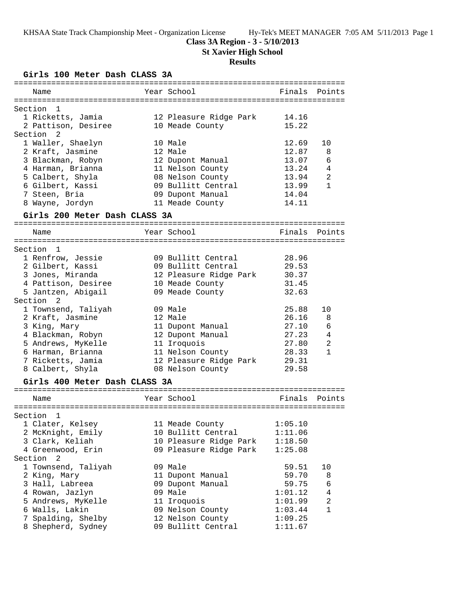# **Class 3A Region - 3 - 5/10/2013**

**St Xavier High School**

## **Results**

**Girls 100 Meter Dash CLASS 3A**

| Year School<br>Finals<br>Points<br>Name<br>Section<br>1<br>1 Ricketts, Jamia<br>12 Pleasure Ridge Park<br>14.16<br>15.22<br>2 Pattison, Desiree<br>10 Meade County<br>Section<br>2<br>1 Waller, Shaelyn<br>10 Male<br>12.69<br>10<br>12.87<br>2 Kraft, Jasmine<br>12 Male<br>8<br>6<br>3 Blackman, Robyn<br>12 Dupont Manual<br>13.07<br>4 Harman, Brianna<br>11 Nelson County<br>4<br>13.24<br>13.94<br>2<br>5 Calbert, Shyla<br>08 Nelson County<br>6 Gilbert, Kassi<br>09 Bullitt Central<br>13.99<br>$\mathbf{1}$<br>14.04<br>7 Steen, Bria<br>09 Dupont Manual<br>8 Wayne, Jordyn<br>11 Meade County<br>14.11<br>Girls 200 Meter Dash CLASS 3A<br>Year School<br>Name<br>Finals<br>Points<br>Section<br>1<br>1 Renfrow, Jessie<br>09 Bullitt Central<br>28.96<br>2 Gilbert, Kassi<br>09 Bullitt Central<br>29.53<br>3 Jones, Miranda<br>12 Pleasure Ridge Park<br>30.37<br>4 Pattison, Desiree<br>31.45<br>10 Meade County<br>5 Jantzen, Abigail<br>32.63<br>09 Meade County<br>Section<br>2<br>09 Male<br>25.88<br>1 Townsend, Taliyah<br>10<br>2 Kraft, Jasmine<br>12 Male<br>26.16<br>8<br>27.10<br>6<br>3 King, Mary<br>11 Dupont Manual<br>4 Blackman, Robyn<br>12 Dupont Manual<br>27.23<br>4<br>5 Andrews, MyKelle<br>27.80<br>2<br>11 Iroquois<br>11 Nelson County<br>$\mathbf{1}$<br>6 Harman, Brianna<br>28.33<br>7 Ricketts, Jamia<br>12 Pleasure Ridge Park<br>29.31<br>8 Calbert, Shyla<br>29.58<br>08 Nelson County<br>Girls 400 Meter Dash CLASS 3A<br>Year School<br>Name<br>Finals<br>Points<br>===========<br>Section<br>$\overline{\phantom{0}}$<br>1 Clater, Kelsey<br>1:05.10<br>11 Meade County<br>2 McKnight, Emily<br>10 Bullitt Central<br>1:11.06<br>3 Clark, Keliah<br>10 Pleasure Ridge Park<br>1:18.50<br>4 Greenwood, Erin<br>09 Pleasure Ridge Park<br>1:25.08<br>Section 2<br>09 Male<br>1 Townsend, Taliyah<br>10<br>59.51<br>59.70<br>2 King, Mary<br>11 Dupont Manual<br>8<br>3 Hall, Labreea<br>09 Dupont Manual<br>59.75<br>6<br>09 Male<br>4 Rowan, Jazlyn<br>1:01.12<br>4<br>2<br>5 Andrews, MyKelle<br>11 Iroquois<br>1:01.99<br>6 Walls, Lakin<br>09 Nelson County<br>1<br>1:03.44<br>7 Spalding, Shelby<br>12 Nelson County<br>1:09.25<br>8 Shepherd, Sydney<br>09 Bullitt Central<br>1:11.67 | ========== |  | ============================= |  |
|----------------------------------------------------------------------------------------------------------------------------------------------------------------------------------------------------------------------------------------------------------------------------------------------------------------------------------------------------------------------------------------------------------------------------------------------------------------------------------------------------------------------------------------------------------------------------------------------------------------------------------------------------------------------------------------------------------------------------------------------------------------------------------------------------------------------------------------------------------------------------------------------------------------------------------------------------------------------------------------------------------------------------------------------------------------------------------------------------------------------------------------------------------------------------------------------------------------------------------------------------------------------------------------------------------------------------------------------------------------------------------------------------------------------------------------------------------------------------------------------------------------------------------------------------------------------------------------------------------------------------------------------------------------------------------------------------------------------------------------------------------------------------------------------------------------------------------------------------------------------------------------------------------------------------------------------------------------------------------------------------------------------------------------------------------------------------------------------------------------------------------------------------------------------------------------------------------------------------------------------|------------|--|-------------------------------|--|
|                                                                                                                                                                                                                                                                                                                                                                                                                                                                                                                                                                                                                                                                                                                                                                                                                                                                                                                                                                                                                                                                                                                                                                                                                                                                                                                                                                                                                                                                                                                                                                                                                                                                                                                                                                                                                                                                                                                                                                                                                                                                                                                                                                                                                                              |            |  |                               |  |
|                                                                                                                                                                                                                                                                                                                                                                                                                                                                                                                                                                                                                                                                                                                                                                                                                                                                                                                                                                                                                                                                                                                                                                                                                                                                                                                                                                                                                                                                                                                                                                                                                                                                                                                                                                                                                                                                                                                                                                                                                                                                                                                                                                                                                                              |            |  |                               |  |
|                                                                                                                                                                                                                                                                                                                                                                                                                                                                                                                                                                                                                                                                                                                                                                                                                                                                                                                                                                                                                                                                                                                                                                                                                                                                                                                                                                                                                                                                                                                                                                                                                                                                                                                                                                                                                                                                                                                                                                                                                                                                                                                                                                                                                                              |            |  |                               |  |
|                                                                                                                                                                                                                                                                                                                                                                                                                                                                                                                                                                                                                                                                                                                                                                                                                                                                                                                                                                                                                                                                                                                                                                                                                                                                                                                                                                                                                                                                                                                                                                                                                                                                                                                                                                                                                                                                                                                                                                                                                                                                                                                                                                                                                                              |            |  |                               |  |
|                                                                                                                                                                                                                                                                                                                                                                                                                                                                                                                                                                                                                                                                                                                                                                                                                                                                                                                                                                                                                                                                                                                                                                                                                                                                                                                                                                                                                                                                                                                                                                                                                                                                                                                                                                                                                                                                                                                                                                                                                                                                                                                                                                                                                                              |            |  |                               |  |
|                                                                                                                                                                                                                                                                                                                                                                                                                                                                                                                                                                                                                                                                                                                                                                                                                                                                                                                                                                                                                                                                                                                                                                                                                                                                                                                                                                                                                                                                                                                                                                                                                                                                                                                                                                                                                                                                                                                                                                                                                                                                                                                                                                                                                                              |            |  |                               |  |
|                                                                                                                                                                                                                                                                                                                                                                                                                                                                                                                                                                                                                                                                                                                                                                                                                                                                                                                                                                                                                                                                                                                                                                                                                                                                                                                                                                                                                                                                                                                                                                                                                                                                                                                                                                                                                                                                                                                                                                                                                                                                                                                                                                                                                                              |            |  |                               |  |
|                                                                                                                                                                                                                                                                                                                                                                                                                                                                                                                                                                                                                                                                                                                                                                                                                                                                                                                                                                                                                                                                                                                                                                                                                                                                                                                                                                                                                                                                                                                                                                                                                                                                                                                                                                                                                                                                                                                                                                                                                                                                                                                                                                                                                                              |            |  |                               |  |
|                                                                                                                                                                                                                                                                                                                                                                                                                                                                                                                                                                                                                                                                                                                                                                                                                                                                                                                                                                                                                                                                                                                                                                                                                                                                                                                                                                                                                                                                                                                                                                                                                                                                                                                                                                                                                                                                                                                                                                                                                                                                                                                                                                                                                                              |            |  |                               |  |
|                                                                                                                                                                                                                                                                                                                                                                                                                                                                                                                                                                                                                                                                                                                                                                                                                                                                                                                                                                                                                                                                                                                                                                                                                                                                                                                                                                                                                                                                                                                                                                                                                                                                                                                                                                                                                                                                                                                                                                                                                                                                                                                                                                                                                                              |            |  |                               |  |
|                                                                                                                                                                                                                                                                                                                                                                                                                                                                                                                                                                                                                                                                                                                                                                                                                                                                                                                                                                                                                                                                                                                                                                                                                                                                                                                                                                                                                                                                                                                                                                                                                                                                                                                                                                                                                                                                                                                                                                                                                                                                                                                                                                                                                                              |            |  |                               |  |
|                                                                                                                                                                                                                                                                                                                                                                                                                                                                                                                                                                                                                                                                                                                                                                                                                                                                                                                                                                                                                                                                                                                                                                                                                                                                                                                                                                                                                                                                                                                                                                                                                                                                                                                                                                                                                                                                                                                                                                                                                                                                                                                                                                                                                                              |            |  |                               |  |
|                                                                                                                                                                                                                                                                                                                                                                                                                                                                                                                                                                                                                                                                                                                                                                                                                                                                                                                                                                                                                                                                                                                                                                                                                                                                                                                                                                                                                                                                                                                                                                                                                                                                                                                                                                                                                                                                                                                                                                                                                                                                                                                                                                                                                                              |            |  |                               |  |
|                                                                                                                                                                                                                                                                                                                                                                                                                                                                                                                                                                                                                                                                                                                                                                                                                                                                                                                                                                                                                                                                                                                                                                                                                                                                                                                                                                                                                                                                                                                                                                                                                                                                                                                                                                                                                                                                                                                                                                                                                                                                                                                                                                                                                                              |            |  |                               |  |
|                                                                                                                                                                                                                                                                                                                                                                                                                                                                                                                                                                                                                                                                                                                                                                                                                                                                                                                                                                                                                                                                                                                                                                                                                                                                                                                                                                                                                                                                                                                                                                                                                                                                                                                                                                                                                                                                                                                                                                                                                                                                                                                                                                                                                                              |            |  |                               |  |
|                                                                                                                                                                                                                                                                                                                                                                                                                                                                                                                                                                                                                                                                                                                                                                                                                                                                                                                                                                                                                                                                                                                                                                                                                                                                                                                                                                                                                                                                                                                                                                                                                                                                                                                                                                                                                                                                                                                                                                                                                                                                                                                                                                                                                                              |            |  |                               |  |
|                                                                                                                                                                                                                                                                                                                                                                                                                                                                                                                                                                                                                                                                                                                                                                                                                                                                                                                                                                                                                                                                                                                                                                                                                                                                                                                                                                                                                                                                                                                                                                                                                                                                                                                                                                                                                                                                                                                                                                                                                                                                                                                                                                                                                                              |            |  |                               |  |
|                                                                                                                                                                                                                                                                                                                                                                                                                                                                                                                                                                                                                                                                                                                                                                                                                                                                                                                                                                                                                                                                                                                                                                                                                                                                                                                                                                                                                                                                                                                                                                                                                                                                                                                                                                                                                                                                                                                                                                                                                                                                                                                                                                                                                                              |            |  |                               |  |
|                                                                                                                                                                                                                                                                                                                                                                                                                                                                                                                                                                                                                                                                                                                                                                                                                                                                                                                                                                                                                                                                                                                                                                                                                                                                                                                                                                                                                                                                                                                                                                                                                                                                                                                                                                                                                                                                                                                                                                                                                                                                                                                                                                                                                                              |            |  |                               |  |
|                                                                                                                                                                                                                                                                                                                                                                                                                                                                                                                                                                                                                                                                                                                                                                                                                                                                                                                                                                                                                                                                                                                                                                                                                                                                                                                                                                                                                                                                                                                                                                                                                                                                                                                                                                                                                                                                                                                                                                                                                                                                                                                                                                                                                                              |            |  |                               |  |
|                                                                                                                                                                                                                                                                                                                                                                                                                                                                                                                                                                                                                                                                                                                                                                                                                                                                                                                                                                                                                                                                                                                                                                                                                                                                                                                                                                                                                                                                                                                                                                                                                                                                                                                                                                                                                                                                                                                                                                                                                                                                                                                                                                                                                                              |            |  |                               |  |
|                                                                                                                                                                                                                                                                                                                                                                                                                                                                                                                                                                                                                                                                                                                                                                                                                                                                                                                                                                                                                                                                                                                                                                                                                                                                                                                                                                                                                                                                                                                                                                                                                                                                                                                                                                                                                                                                                                                                                                                                                                                                                                                                                                                                                                              |            |  |                               |  |
|                                                                                                                                                                                                                                                                                                                                                                                                                                                                                                                                                                                                                                                                                                                                                                                                                                                                                                                                                                                                                                                                                                                                                                                                                                                                                                                                                                                                                                                                                                                                                                                                                                                                                                                                                                                                                                                                                                                                                                                                                                                                                                                                                                                                                                              |            |  |                               |  |
|                                                                                                                                                                                                                                                                                                                                                                                                                                                                                                                                                                                                                                                                                                                                                                                                                                                                                                                                                                                                                                                                                                                                                                                                                                                                                                                                                                                                                                                                                                                                                                                                                                                                                                                                                                                                                                                                                                                                                                                                                                                                                                                                                                                                                                              |            |  |                               |  |
|                                                                                                                                                                                                                                                                                                                                                                                                                                                                                                                                                                                                                                                                                                                                                                                                                                                                                                                                                                                                                                                                                                                                                                                                                                                                                                                                                                                                                                                                                                                                                                                                                                                                                                                                                                                                                                                                                                                                                                                                                                                                                                                                                                                                                                              |            |  |                               |  |
|                                                                                                                                                                                                                                                                                                                                                                                                                                                                                                                                                                                                                                                                                                                                                                                                                                                                                                                                                                                                                                                                                                                                                                                                                                                                                                                                                                                                                                                                                                                                                                                                                                                                                                                                                                                                                                                                                                                                                                                                                                                                                                                                                                                                                                              |            |  |                               |  |
|                                                                                                                                                                                                                                                                                                                                                                                                                                                                                                                                                                                                                                                                                                                                                                                                                                                                                                                                                                                                                                                                                                                                                                                                                                                                                                                                                                                                                                                                                                                                                                                                                                                                                                                                                                                                                                                                                                                                                                                                                                                                                                                                                                                                                                              |            |  |                               |  |
|                                                                                                                                                                                                                                                                                                                                                                                                                                                                                                                                                                                                                                                                                                                                                                                                                                                                                                                                                                                                                                                                                                                                                                                                                                                                                                                                                                                                                                                                                                                                                                                                                                                                                                                                                                                                                                                                                                                                                                                                                                                                                                                                                                                                                                              |            |  |                               |  |
|                                                                                                                                                                                                                                                                                                                                                                                                                                                                                                                                                                                                                                                                                                                                                                                                                                                                                                                                                                                                                                                                                                                                                                                                                                                                                                                                                                                                                                                                                                                                                                                                                                                                                                                                                                                                                                                                                                                                                                                                                                                                                                                                                                                                                                              |            |  |                               |  |
|                                                                                                                                                                                                                                                                                                                                                                                                                                                                                                                                                                                                                                                                                                                                                                                                                                                                                                                                                                                                                                                                                                                                                                                                                                                                                                                                                                                                                                                                                                                                                                                                                                                                                                                                                                                                                                                                                                                                                                                                                                                                                                                                                                                                                                              |            |  |                               |  |
|                                                                                                                                                                                                                                                                                                                                                                                                                                                                                                                                                                                                                                                                                                                                                                                                                                                                                                                                                                                                                                                                                                                                                                                                                                                                                                                                                                                                                                                                                                                                                                                                                                                                                                                                                                                                                                                                                                                                                                                                                                                                                                                                                                                                                                              |            |  |                               |  |
|                                                                                                                                                                                                                                                                                                                                                                                                                                                                                                                                                                                                                                                                                                                                                                                                                                                                                                                                                                                                                                                                                                                                                                                                                                                                                                                                                                                                                                                                                                                                                                                                                                                                                                                                                                                                                                                                                                                                                                                                                                                                                                                                                                                                                                              |            |  |                               |  |
|                                                                                                                                                                                                                                                                                                                                                                                                                                                                                                                                                                                                                                                                                                                                                                                                                                                                                                                                                                                                                                                                                                                                                                                                                                                                                                                                                                                                                                                                                                                                                                                                                                                                                                                                                                                                                                                                                                                                                                                                                                                                                                                                                                                                                                              |            |  |                               |  |
|                                                                                                                                                                                                                                                                                                                                                                                                                                                                                                                                                                                                                                                                                                                                                                                                                                                                                                                                                                                                                                                                                                                                                                                                                                                                                                                                                                                                                                                                                                                                                                                                                                                                                                                                                                                                                                                                                                                                                                                                                                                                                                                                                                                                                                              |            |  |                               |  |
|                                                                                                                                                                                                                                                                                                                                                                                                                                                                                                                                                                                                                                                                                                                                                                                                                                                                                                                                                                                                                                                                                                                                                                                                                                                                                                                                                                                                                                                                                                                                                                                                                                                                                                                                                                                                                                                                                                                                                                                                                                                                                                                                                                                                                                              |            |  |                               |  |
|                                                                                                                                                                                                                                                                                                                                                                                                                                                                                                                                                                                                                                                                                                                                                                                                                                                                                                                                                                                                                                                                                                                                                                                                                                                                                                                                                                                                                                                                                                                                                                                                                                                                                                                                                                                                                                                                                                                                                                                                                                                                                                                                                                                                                                              |            |  |                               |  |
|                                                                                                                                                                                                                                                                                                                                                                                                                                                                                                                                                                                                                                                                                                                                                                                                                                                                                                                                                                                                                                                                                                                                                                                                                                                                                                                                                                                                                                                                                                                                                                                                                                                                                                                                                                                                                                                                                                                                                                                                                                                                                                                                                                                                                                              |            |  |                               |  |
|                                                                                                                                                                                                                                                                                                                                                                                                                                                                                                                                                                                                                                                                                                                                                                                                                                                                                                                                                                                                                                                                                                                                                                                                                                                                                                                                                                                                                                                                                                                                                                                                                                                                                                                                                                                                                                                                                                                                                                                                                                                                                                                                                                                                                                              |            |  |                               |  |
|                                                                                                                                                                                                                                                                                                                                                                                                                                                                                                                                                                                                                                                                                                                                                                                                                                                                                                                                                                                                                                                                                                                                                                                                                                                                                                                                                                                                                                                                                                                                                                                                                                                                                                                                                                                                                                                                                                                                                                                                                                                                                                                                                                                                                                              |            |  |                               |  |
|                                                                                                                                                                                                                                                                                                                                                                                                                                                                                                                                                                                                                                                                                                                                                                                                                                                                                                                                                                                                                                                                                                                                                                                                                                                                                                                                                                                                                                                                                                                                                                                                                                                                                                                                                                                                                                                                                                                                                                                                                                                                                                                                                                                                                                              |            |  |                               |  |
|                                                                                                                                                                                                                                                                                                                                                                                                                                                                                                                                                                                                                                                                                                                                                                                                                                                                                                                                                                                                                                                                                                                                                                                                                                                                                                                                                                                                                                                                                                                                                                                                                                                                                                                                                                                                                                                                                                                                                                                                                                                                                                                                                                                                                                              |            |  |                               |  |
|                                                                                                                                                                                                                                                                                                                                                                                                                                                                                                                                                                                                                                                                                                                                                                                                                                                                                                                                                                                                                                                                                                                                                                                                                                                                                                                                                                                                                                                                                                                                                                                                                                                                                                                                                                                                                                                                                                                                                                                                                                                                                                                                                                                                                                              |            |  |                               |  |
|                                                                                                                                                                                                                                                                                                                                                                                                                                                                                                                                                                                                                                                                                                                                                                                                                                                                                                                                                                                                                                                                                                                                                                                                                                                                                                                                                                                                                                                                                                                                                                                                                                                                                                                                                                                                                                                                                                                                                                                                                                                                                                                                                                                                                                              |            |  |                               |  |
|                                                                                                                                                                                                                                                                                                                                                                                                                                                                                                                                                                                                                                                                                                                                                                                                                                                                                                                                                                                                                                                                                                                                                                                                                                                                                                                                                                                                                                                                                                                                                                                                                                                                                                                                                                                                                                                                                                                                                                                                                                                                                                                                                                                                                                              |            |  |                               |  |
|                                                                                                                                                                                                                                                                                                                                                                                                                                                                                                                                                                                                                                                                                                                                                                                                                                                                                                                                                                                                                                                                                                                                                                                                                                                                                                                                                                                                                                                                                                                                                                                                                                                                                                                                                                                                                                                                                                                                                                                                                                                                                                                                                                                                                                              |            |  |                               |  |
|                                                                                                                                                                                                                                                                                                                                                                                                                                                                                                                                                                                                                                                                                                                                                                                                                                                                                                                                                                                                                                                                                                                                                                                                                                                                                                                                                                                                                                                                                                                                                                                                                                                                                                                                                                                                                                                                                                                                                                                                                                                                                                                                                                                                                                              |            |  |                               |  |
|                                                                                                                                                                                                                                                                                                                                                                                                                                                                                                                                                                                                                                                                                                                                                                                                                                                                                                                                                                                                                                                                                                                                                                                                                                                                                                                                                                                                                                                                                                                                                                                                                                                                                                                                                                                                                                                                                                                                                                                                                                                                                                                                                                                                                                              |            |  |                               |  |
|                                                                                                                                                                                                                                                                                                                                                                                                                                                                                                                                                                                                                                                                                                                                                                                                                                                                                                                                                                                                                                                                                                                                                                                                                                                                                                                                                                                                                                                                                                                                                                                                                                                                                                                                                                                                                                                                                                                                                                                                                                                                                                                                                                                                                                              |            |  |                               |  |
|                                                                                                                                                                                                                                                                                                                                                                                                                                                                                                                                                                                                                                                                                                                                                                                                                                                                                                                                                                                                                                                                                                                                                                                                                                                                                                                                                                                                                                                                                                                                                                                                                                                                                                                                                                                                                                                                                                                                                                                                                                                                                                                                                                                                                                              |            |  |                               |  |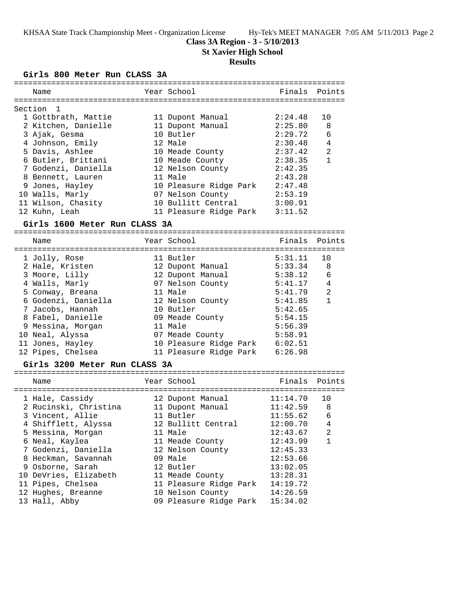#### **Class 3A Region - 3 - 5/10/2013**

**St Xavier High School**

#### **Results**

### **Girls 800 Meter Run CLASS 3A**

| Name                | Year School            | Finals Points |                |
|---------------------|------------------------|---------------|----------------|
|                     |                        |               |                |
| Section 1           |                        |               |                |
| 1 Gottbrath, Mattie | 11 Dupont Manual       | 2:24.48       | 10             |
| 2 Kitchen, Danielle | 11 Dupont Manual       | 2:25.80       | 8              |
| 3 Ajak, Gesma       | 10 Butler              | 2:29.72       | 6              |
| 4 Johnson, Emily    | 12 Male                | 2:30.48       | 4              |
| 5 Davis, Ashlee     | 10 Meade County        | 2:37.42       | $\mathfrak{D}$ |
| 6 Butler, Brittani  | 10 Meade County        | 2:38.35       | $\mathbf{1}$   |
| 7 Godenzi, Daniella | 12 Nelson County       | 2:42.35       |                |
| 8 Bennett, Lauren   | 11 Male                | 2:43.28       |                |
| 9 Jones, Hayley     | 10 Pleasure Ridge Park | 2:47.48       |                |
| 10 Walls, Marly     | 07 Nelson County       | 2:53.19       |                |
| 11 Wilson, Chasity  | 10 Bullitt Central     | 3:00.91       |                |
| 12 Kuhn, Leah       | 11 Pleasure Ridge Park | 3:11.52       |                |

#### **Girls 1600 Meter Run CLASS 3A**

======================================================================= Year School Finals Points ======================================================================= 1 Jolly, Rose 11 Butler 5:31.11 10 2 Hale, Kristen 12 Dupont Manual 5:33.34 8 3 Moore, Lilly 12 Dupont Manual 5:38.12 6 4 Walls, Marly 07 Nelson County 5:41.17 4 5 Conway, Breana 11 Male 5:41.79 2 6 Godenzi, Daniella 12 Nelson County 5:41.85 1 7 Jacobs, Hannah 10 Butler 5:42.65 8 Fabel, Danielle 09 Meade County 5:54.15 9 Messina, Morgan 11 Male 5:56.39 10 Neal, Alyssa 07 Meade County 5:58.91 11 Jones, Hayley 10 Pleasure Ridge Park 6:02.51 12 Pipes, Chelsea 11 Pleasure Ridge Park 6:26.98

#### **Girls 3200 Meter Run CLASS 3A**

| Name                  | Year School            | Finals Points |                |
|-----------------------|------------------------|---------------|----------------|
| 1 Hale, Cassidy       | 12 Dupont Manual       | 11:14.70      | 10             |
| 2 Rucinski, Christina | 11 Dupont Manual       | 11:42.59      | 8              |
| 3 Vincent, Allie      | 11 Butler              | 11:55.62      | 6              |
| 4 Shifflett, Alyssa   | 12 Bullitt Central     | 12:00.70      | $\overline{4}$ |
| 5 Messina, Morgan     | 11 Male                | 12:43.67      | $\overline{2}$ |
| 6 Neal, Kaylea        | 11 Meade County        | 12:43.99      | 1              |
| 7 Godenzi, Daniella   | 12 Nelson County       | 12:45.33      |                |
| 8 Heckman, Savannah   | 09 Male                | 12:53.66      |                |
| 9 Osborne, Sarah      | 12 Butler              | 13:02.05      |                |
| 10 DeVries, Elizabeth | 11 Meade County        | 13:28.31      |                |
| 11 Pipes, Chelsea     | 11 Pleasure Ridge Park | 14:19.72      |                |
| 12 Hughes, Breanne    | 10 Nelson County       | 14:26.59      |                |
| 13 Hall, Abby         | 09 Pleasure Ridge Park | 15:34.02      |                |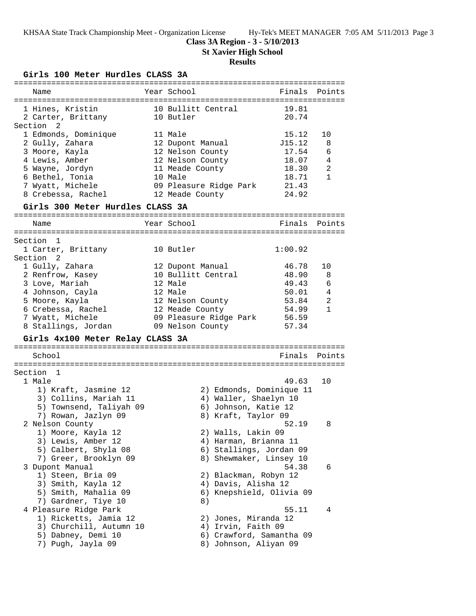# **Class 3A Region - 3 - 5/10/2013**

**St Xavier High School**

# **Results**

**Girls 100 Meter Hurdles CLASS 3A**

| Name                             | Year School              | Finals Points |              |
|----------------------------------|--------------------------|---------------|--------------|
|                                  |                          |               |              |
| 1 Hines, Kristin                 | 10 Bullitt Central       | 19.81         |              |
| 2 Carter, Brittany               | 10 Butler                | 20.74         |              |
| Section 2                        |                          |               |              |
| 1 Edmonds, Dominique             | 11 Male                  | 15.12         | 10           |
| 2 Gully, Zahara                  | 12 Dupont Manual         | J15.12        | 8            |
| 3 Moore, Kayla                   | 12 Nelson County         | 17.54         | 6            |
| 4 Lewis, Amber                   | 12 Nelson County         | 18.07         | 4            |
| 5 Wayne, Jordyn                  | 11 Meade County          | 18.30         | 2            |
| 6 Bethel, Tonia                  | 10 Male                  | 18.71         | 1            |
| 7 Wyatt, Michele                 | 09 Pleasure Ridge Park   | 21.43         |              |
| 8 Crebessa, Rachel               | 12 Meade County          | 24.92         |              |
| Girls 300 Meter Hurdles CLASS 3A |                          |               |              |
|                                  |                          |               |              |
| Name                             | Year School              | Finals        | Points       |
|                                  |                          |               |              |
| Section 1                        |                          |               |              |
| 1 Carter, Brittany               | 10 Butler                | 1:00.92       |              |
| Section <sub>2</sub>             |                          |               |              |
| 1 Gully, Zahara                  | 12 Dupont Manual         | 46.78         | 10           |
| 2 Renfrow, Kasey                 | 10 Bullitt Central       | 48.90         | 8            |
| 3 Love, Mariah                   | 12 Male                  | 49.43         | 6            |
| 4 Johnson, Cayla                 | 12 Male                  | 50.01         | 4            |
| 5 Moore, Kayla                   | 12 Nelson County         | 53.84         | 2            |
| 6 Crebessa, Rachel               | 12 Meade County          | 54.99         | $\mathbf{1}$ |
|                                  |                          |               |              |
| 7 Wyatt, Michele                 | 09 Pleasure Ridge Park   | 56.59         |              |
| 8 Stallings, Jordan              | 09 Nelson County         | 57.34         |              |
| Girls 4x100 Meter Relay CLASS 3A |                          |               |              |
| School                           |                          | Finals        | Points       |
|                                  |                          |               |              |
| Section 1                        |                          |               |              |
| 1 Male                           |                          | 49.63         | 10           |
| 1) Kraft, Jasmine 12             | 2) Edmonds, Dominique 11 |               |              |
| 3) Collins, Mariah 11            | 4) Waller, Shaelyn 10    |               |              |
| 5) Townsend, Taliyah 09          | 6) Johnson, Katie 12     |               |              |
| 7) Rowan, Jazlyn 09              | 8) Kraft, Taylor 09      |               |              |
| 2 Nelson County                  |                          | 52.19         | 8            |
| 1) Moore, Kayla 12               | 2) Walls, Lakin 09       |               |              |
| 3) Lewis, Amber 12               | 4) Harman, Brianna 11    |               |              |
| 5) Calbert, Shyla 08             | 6) Stallings, Jordan 09  |               |              |
| 7) Greer, Brooklyn 09            | 8) Shewmaker, Linsey 10  |               |              |
|                                  |                          |               |              |
| 3 Dupont Manual                  |                          | 54.38         | 6            |
| 1) Steen, Bria 09                | 2) Blackman, Robyn 12    |               |              |
| 3) Smith, Kayla 12               | 4) Davis, Alisha 12      |               |              |
| 5) Smith, Mahalia 09             | 6) Knepshield, Olivia 09 |               |              |
| 7) Gardner, Tiye 10              | 8)                       |               |              |
| 4 Pleasure Ridge Park            |                          | 55.11         | 4            |
| 1) Ricketts, Jamia 12            | 2) Jones, Miranda 12     |               |              |
| 3) Churchill, Autumn 10          | 4) Irvin, Faith 09       |               |              |
| 5) Dabney, Demi 10               | 6) Crawford, Samantha 09 |               |              |
| 7) Pugh, Jayla 09                | 8) Johnson, Aliyan 09    |               |              |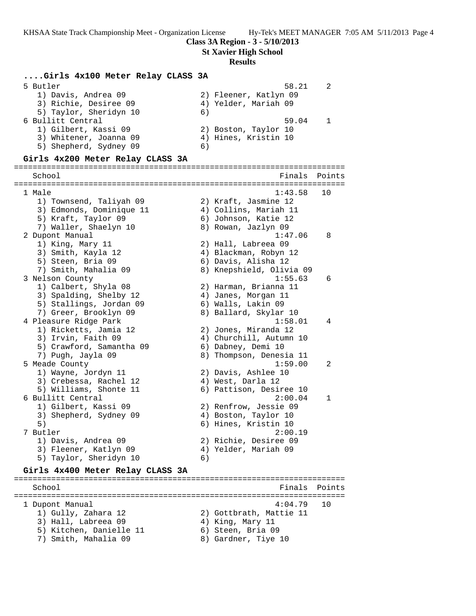**St Xavier High School**

#### **Results**

#### **....Girls 4x100 Meter Relay CLASS 3A**

| 5 Butler               |                       | 58.21 | $\mathcal{D}$ |
|------------------------|-----------------------|-------|---------------|
| 1) Davis, Andrea 09    | 2) Fleener, Katlyn 09 |       |               |
| 3) Richie, Desiree 09  | 4) Yelder, Mariah 09  |       |               |
| 5) Taylor, Sheridyn 10 | 6)                    |       |               |
| 6 Bullitt Central      |                       | 59.04 |               |
| 1) Gilbert, Kassi 09   | 2) Boston, Taylor 10  |       |               |
| 3) Whitener, Joanna 09 | 4) Hines, Kristin 10  |       |               |
| 5) Shepherd, Sydney 09 | 6)                    |       |               |
|                        |                       |       |               |

#### **Girls 4x200 Meter Relay CLASS 3A**

======================================================================= School **Finals** Points ======================================================================= 1 Male 1:43.58 10 1) Townsend, Taliyah 09 2) Kraft, Jasmine 12 3) Edmonds, Dominique 11 4) Collins, Mariah 11 5) Kraft, Taylor 09 6) Johnson, Katie 12 7) Waller, Shaelyn 10  $\,$  8) Rowan, Jazlyn 09 2 Dupont Manual 1:47.06 8 1) King, Mary 11 2) Hall, Labreea 09 3) Smith, Kayla 12 4) Blackman, Robyn 12 5) Steen, Bria 09 6) Davis, Alisha 12 7) Smith, Mahalia 09 8) Knepshield, Olivia 09 3 Nelson County 1:55.63 6 1) Calbert, Shyla 08 2) Harman, Brianna 11 3) Spalding, Shelby 12 4) Janes, Morgan 11 5) Stallings, Jordan 09 6) Walls, Lakin 09 7) Greer, Brooklyn 09 8) Ballard, Skylar 10 4 Pleasure Ridge Park 1:58.01 4 1) Ricketts, Jamia 12 2) Jones, Miranda 12 3) Irvin, Faith 09 4) Churchill, Autumn 10 5) Crawford, Samantha 09 6) Dabney, Demi 10 7) Pugh, Jayla 09 8) Thompson, Denesia 11 5 Meade County 1:59.00 2 1) Wayne, Jordyn 11 2) Davis, Ashlee 10 3) Crebessa, Rachel 12 (4) West, Darla 12 5) Williams, Shonte 11 6) Pattison, Desiree 10 6 Bullitt Central 2:00.04 1 1) Gilbert, Kassi 09 2) Renfrow, Jessie 09 3) Shepherd, Sydney 09 (4) Boston, Taylor 10 5) 6) Hines, Kristin 10 7 Butler 2:00.19 1) Davis, Andrea 09 2) Richie, Desiree 09 3) Fleener, Katlyn 09  $\hskip1cm$  4) Yelder, Mariah 09 5) Taylor, Sheridyn 10 6)

#### **Girls 4x400 Meter Relay CLASS 3A**

======================================================================= School **Finals Points** ======================================================================= 1 Dupont Manual 4:04.79 10 1) Gully, Zahara 12 2) Gottbrath, Mattie 11 3) Hall, Labreea 09 (4) King, Mary 11 5) Kitchen, Danielle 11 (6) Steen, Bria 09 7) Smith, Mahalia 09 8) Gardner, Tiye 10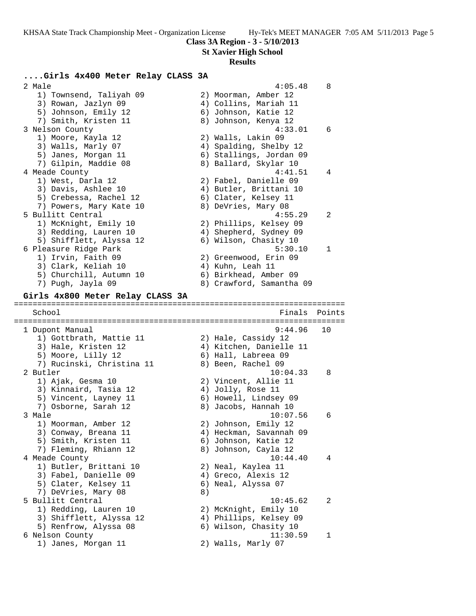#### **St Xavier High School**

#### **Results**

### **....Girls 4x400 Meter Relay CLASS 3A**

 2 Male 4:05.48 8 1) Townsend, Taliyah 09 2) Moorman, Amber 12 3) Rowan, Jazlyn 09 4) Collins, Mariah 11 5) Johnson, Emily 12 (6) Johnson, Katie 12 7) Smith, Kristen 11 and 8) Johnson, Kenya 12 3 Nelson County 4:33.01 6 1) Moore, Kayla 12 2) Walls, Lakin 09 3) Walls, Marly 07 4) Spalding, Shelby 12 5) Janes, Morgan 11 6) Stallings, Jordan 09 7) Gilpin, Maddie 08 8) Ballard, Skylar 10 4 Meade County 4:41.51 4 1) West, Darla 12 2) Fabel, Danielle 09 3) Davis, Ashlee 10 4) Butler, Brittani 10 5) Crebessa, Rachel 12 (6) Clater, Kelsey 11 7) Powers, Mary Kate 10 8) DeVries, Mary 08 5 Bullitt Central 4:55.29 2 1) McKnight, Emily 10 2) Phillips, Kelsey 09 3) Redding, Lauren 10 4) Shepherd, Sydney 09 5) Shifflett, Alyssa 12 6) Wilson, Chasity 10 6 Pleasure Ridge Park 5:30.10 1 1) Irvin, Faith 09 2) Greenwood, Erin 09 3) Clark, Keliah 10  $\qquad \qquad \qquad$  4) Kuhn, Leah 11 5) Churchill, Autumn 10 6) Birkhead, Amber 09 7) Pugh, Jayla 09 8) Crawford, Samantha 09 **Girls 4x800 Meter Relay CLASS 3A** ======================================================================= Finals Points ======================================================================= 1 Dupont Manual 9:44.96 10 1) Gottbrath, Mattie 11 2) Hale, Cassidy 12 3) Hale, Kristen 12 4) Kitchen, Danielle 11 5) Moore, Lilly 12 (6) Hall, Labreea 09 7) Rucinski, Christina 11  $\qquad \qquad 8)$  Been, Rachel 09 2 Butler 10:04.33 8 1) Ajak, Gesma 10 2) Vincent, Allie 11 3) Kinnaird, Tasia 12 (4) Jolly, Rose 11 5) Vincent, Layney 11 6) Howell, Lindsey 09 7) Osborne, Sarah 12  $\hskip1cm 8)$  Jacobs, Hannah 10 3 Male 10:07.56 6 1) Moorman, Amber 12 2) Johnson, Emily 12 3) Conway, Breana 11 4) Heckman, Savannah 09 5) Smith, Kristen 11 (6) Johnson, Katie 12 7) Fleming, Rhiann 12 8) Johnson, Cayla 12 4 Meade County 10:44.40 4 1) Butler, Brittani 10 2) Neal, Kaylea 11 3) Fabel, Danielle 09 4) Greco, Alexis 12 5) Clater, Kelsey 11 6) Neal, Alyssa 07 7) DeVries, Mary 08 (8) 5 Bullitt Central 10:45.62 2 1) Redding, Lauren 10 2) McKnight, Emily 10 3) Shifflett, Alyssa 12 4) Phillips, Kelsey 09 5) Renfrow, Alyssa 08 6) Wilson, Chasity 10 6 Nelson County 11:30.59 1 1) Janes, Morgan 11 2) Walls, Marly 07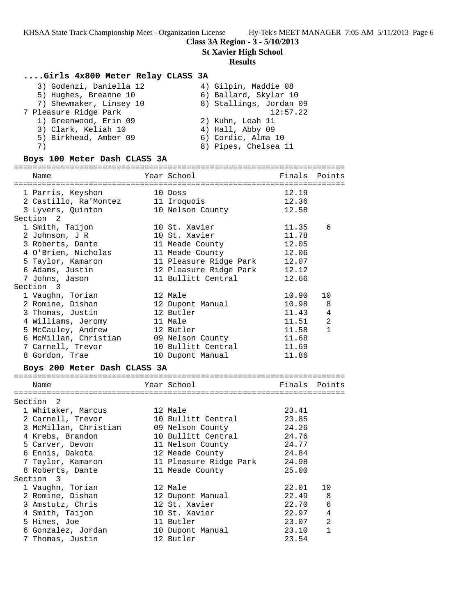## **Class 3A Region - 3 - 5/10/2013**

**St Xavier High School**

#### **Results**

## **....Girls 4x800 Meter Relay CLASS 3A**

| 3) Godenzi, Daniella 12 | 4) Gilpin, Maddie 08    |
|-------------------------|-------------------------|
| 5) Hughes, Breanne 10   | 6) Ballard, Skylar 10   |
| 7) Shewmaker, Linsey 10 | 8) Stallings, Jordan 09 |
| 7 Pleasure Ridge Park   | 12:57.22                |
| 1) Greenwood, Erin 09   | 2) Kuhn, Leah 11        |
| 3) Clark, Keliah 10     | 4) Hall, Abby 09        |
| 5) Birkhead, Amber 09   | 6) Cordic, Alma 10      |
| 7)                      | 8) Pipes, Chelsea 11    |
|                         |                         |

## **Boys 100 Meter Dash CLASS 3A**

| Name                                                                          | Year School |                              | Finals Points |                |
|-------------------------------------------------------------------------------|-------------|------------------------------|---------------|----------------|
| 1 Parris, Keyshon                                                             | 10 Doss     |                              | 12.19         |                |
| 2 Castillo, Ra'Montez 11 Iroquois                                             |             |                              | 12.36         |                |
| 3 Lyvers, Quinton 10 Nelson County                                            |             |                              | 12.58         |                |
| Section 2                                                                     |             |                              |               |                |
| 1 Smith, Taijon                                                               |             | 10 St. Xavier                | 11.35         | 6              |
| 2 Johnson, J R                                                                |             | 10 St. Xavier                | 11.78         |                |
| 3 Roberts, Dante                                                              |             | 11 Meade County              | 12.05         |                |
| 4 O'Brien, Nicholas                                                           |             | 11 Meade County              | 12.06         |                |
| 5 Taylor, Kamaron<br>6 Adams, Justin                                          |             | 11 Pleasure Ridge Park 12.07 |               |                |
|                                                                               |             | 12 Pleasure Ridge Park 12.12 |               |                |
| 7 Johns, Jason                                                                |             | 11 Bullitt Central           | 12.66         |                |
| Section 3                                                                     |             |                              |               |                |
| 1 Vaughn, Torian                                                              |             | 12 Male                      | 10.90         | 10             |
| 2 Romine, Dishan                                                              |             | 12 Dupont Manual             | 10.98         | 8              |
| 3 Thomas, Justin                                                              |             | 12 Butler                    | 11.43         | 4              |
| 4 Williams, Jeromy                                                            |             | 11 Male                      | 11.51         | $\overline{a}$ |
| 5 McCauley, Andrew                                                            |             | 12 Butler                    | 11.58         | $\mathbf{1}$   |
|                                                                               |             |                              | 11.68         |                |
|                                                                               |             |                              | 11.69         |                |
| 8 Gordon, Trae                                                                |             | 10 Dupont Manual             | 11.86         |                |
| Boys 200 Meter Dash CLASS 3A                                                  |             |                              |               |                |
| Name                                                                          |             | Year School                  | Finals        | Points         |
|                                                                               |             |                              |               |                |
| Section 2                                                                     |             |                              |               |                |
| 1 Whitaker, Marcus                                                            | 12 Male     |                              | 23.41         |                |
| 2 Carnell, Trevor                                                             |             | 10 Bullitt Central           | 23.85         |                |
| 3 McMillan, Christian 09 Nelson County<br>4 Krebs, Brandon 10 Bullitt Central |             |                              | 24.26         |                |
|                                                                               |             | 10 Bullitt Central           | 24.76         |                |
| 5 Carver, Devon                                                               |             | 11 Nelson County             | 24.77         |                |
| 6 Ennis, Dakota                                                               |             | 12 Meade County              | 24.84         |                |
| 7 Taylor, Kamaron 11 Pleasure Ridge Park 24.98                                |             |                              |               |                |
| 8 Roberts, Dante                                                              |             | 11 Meade County              | 25.00         |                |
| Section 3                                                                     |             |                              |               |                |
| 1 Vaughn, Torian                                                              |             | 12 Male                      | 22.01         | 10             |
| 2 Romine, Dishan                                                              |             | 12 Dupont Manual             | 22.49         | 8              |

 3 Amstutz, Chris 12 St. Xavier 22.70 6 4 Smith, Taijon 10 St. Xavier 22.97 4 5 Hines, Joe 11 Butler 23.07 2

 6 Gonzalez, Jordan 10 Dupont Manual 23.10 1 7 Thomas, Justin 12 Butler 23.54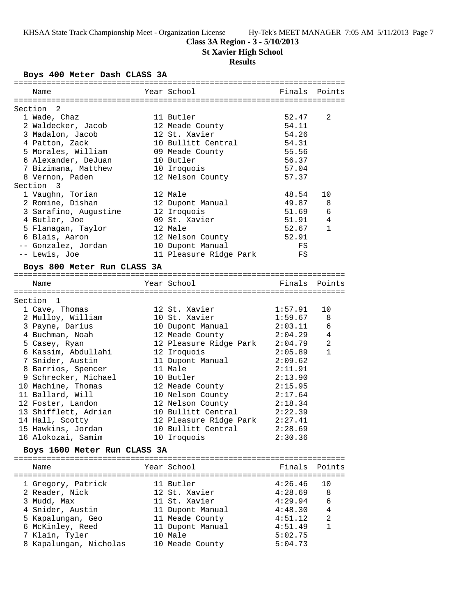# **Class 3A Region - 3 - 5/10/2013**

**St Xavier High School**

# **Results**

# **Boys 400 Meter Dash CLASS 3A**

| Name                         | Year School                    | Finals         | Points         |
|------------------------------|--------------------------------|----------------|----------------|
|                              |                                |                |                |
| Section 2<br>1 Wade, Chaz    | 11 Butler                      | 52.47          | 2              |
| 2 Waldecker, Jacob           | 12 Meade County                | 54.11          |                |
| 3 Madalon, Jacob             | 12 St. Xavier                  | 54.26          |                |
| 4 Patton, Zack               | 10 Bullitt Central             | 54.31          |                |
| 5 Morales, William           |                                | 55.56          |                |
|                              | 09 Meade County                |                |                |
| 6 Alexander, DeJuan          | 10 Butler                      | 56.37          |                |
| 7 Bizimana, Matthew          | 10 Iroquois                    | 57.04<br>57.37 |                |
| 8 Vernon, Paden              | 12 Nelson County               |                |                |
| Section 3                    | 12 Male                        |                |                |
| 1 Vaughn, Torian             |                                | 48.54          | 10             |
| 2 Romine, Dishan             | 12 Dupont Manual               | 49.87          | 8              |
| 3 Sarafino, Augustine        | 12 Iroquois                    | 51.69          | 6<br>4         |
| 4 Butler, Joe                | 09 St. Xavier                  | 51.91          | $\mathbf{1}$   |
| 5 Flanagan, Taylor           | 12 Male                        | 52.67          |                |
| 6 Blais, Aaron               | 12 Nelson County               | 52.91          |                |
| -- Gonzalez, Jordan          | 10 Dupont Manual               | FS             |                |
| -- Lewis, Joe                | 11 Pleasure Ridge Park         | FS             |                |
| Boys 800 Meter Run CLASS 3A  |                                |                |                |
| Name                         | Year School                    | Finals         | Points         |
|                              |                                |                |                |
| Section 1                    |                                |                |                |
| 1 Cave, Thomas               | 12 St. Xavier                  | 1:57.91        | 10             |
| 2 Mulloy, William            | 10 St. Xavier                  | 1:59.67        | 8              |
| 3 Payne, Darius              | 10 Dupont Manual               | 2:03.11        | 6              |
| 4 Buchman, Noah              | 12 Meade County                | 2:04.29        | 4              |
| 5 Casey, Ryan                | 12 Pleasure Ridge Park 2:04.79 |                | $\overline{a}$ |
| 6 Kassim, Abdullahi          | 12 Iroquois                    | 2:05.89        | $\mathbf{1}$   |
| 7 Snider, Austin             | 11 Dupont Manual               | 2:09.62        |                |
| 8 Barrios, Spencer           | 11 Male                        | 2:11.91        |                |
| 9 Schrecker, Michael         | 10 Butler                      | 2:13.90        |                |
| 10 Machine, Thomas           | 12 Meade County                | 2:15.95        |                |
| 11 Ballard, Will             | 10 Nelson County               | 2:17.64        |                |
| 12 Foster, Landon            | 12 Nelson County               | 2:18.34        |                |
| 13 Shifflett, Adrian         | 10 Bullitt Central             | 2:22.39        |                |
| 14 Hall, Scotty              | 12 Pleasure Ridge Park 2:27.41 |                |                |
| 15 Hawkins, Jordan           | 10 Bullitt Central             | 2:28.69        |                |
| 16 Alokozai, Samim           | 10 Iroquois                    | 2:30.36        |                |
| Boys 1600 Meter Run CLASS 3A |                                |                |                |
|                              |                                |                |                |
| Name                         | Year School                    | Finals         | Points         |
|                              |                                |                |                |
| 1 Gregory, Patrick           | 11 Butler                      | 4:26.46        | 10             |
| 2 Reader, Nick               | 12 St. Xavier                  | 4:28.69        | 8              |
| 3 Mudd, Max                  | 11 St. Xavier                  | 4:29.94        | 6              |
| 4 Snider, Austin             | 11 Dupont Manual               | 4:48.30        | 4              |
| 5 Kapalungan, Geo            | 11 Meade County                | 4:51.12        | 2              |
| 6 McKinley, Reed             | 11 Dupont Manual               | 4:51.49        | $\mathbf{1}$   |
| 7 Klain, Tyler               | 10 Male                        | 5:02.75        |                |
| 8 Kapalungan, Nicholas       | 10 Meade County                | 5:04.73        |                |
|                              |                                |                |                |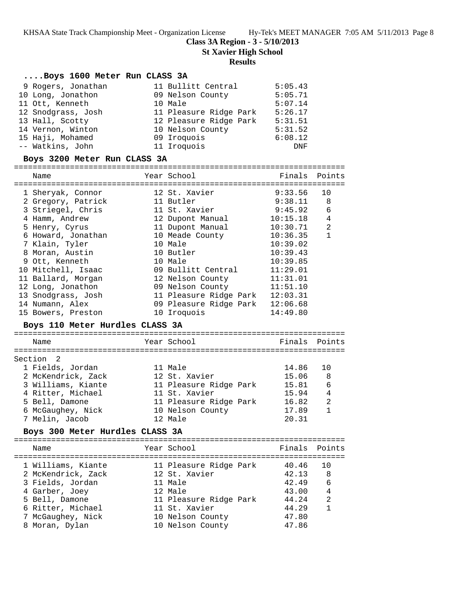**Class 3A Region - 3 - 5/10/2013**

**St Xavier High School**

## **Results**

## **....Boys 1600 Meter Run CLASS 3A**

| 9 Rogers, Jonathan | 11 Bullitt Central     | 5:05.43 |
|--------------------|------------------------|---------|
| 10 Long, Jonathon  | 09 Nelson County       | 5:05.71 |
| 11 Ott, Kenneth    | 10 Male                | 5:07.14 |
| 12 Snodgrass, Josh | 11 Pleasure Ridge Park | 5:26.17 |
| 13 Hall, Scotty    | 12 Pleasure Ridge Park | 5:31.51 |
| 14 Vernon, Winton  | 10 Nelson County       | 5:31.52 |
| 15 Haji, Mohamed   | 09 Iroquois            | 6:08.12 |
| -- Watkins, John   | 11 Iroquois            | DNF     |

## **Boys 3200 Meter Run CLASS 3A**

| Name               | Year School            | Finals Points |                |
|--------------------|------------------------|---------------|----------------|
|                    |                        |               |                |
| 1 Sheryak, Connor  | 12 St. Xavier          | 9:33.56       | 10             |
| 2 Gregory, Patrick | 11 Butler              | 9:38.11       | 8              |
| 3 Striegel, Chris  | 11 St. Xavier          | 9:45.92       | 6              |
| 4 Hamm, Andrew     | 12 Dupont Manual       | 10:15.18      | $\overline{4}$ |
| 5 Henry, Cyrus     | 11 Dupont Manual       | 10:30.71      | $\overline{2}$ |
| 6 Howard, Jonathan | 10 Meade County        | 10:36.35      | $\mathbf{1}$   |
| 7 Klain, Tyler     | 10 Male                | 10:39.02      |                |
| 8 Moran, Austin    | 10 Butler              | 10:39.43      |                |
| 9 Ott, Kenneth     | 10 Male                | 10:39.85      |                |
| 10 Mitchell, Isaac | 09 Bullitt Central     | 11:29.01      |                |
| 11 Ballard, Morgan | 12 Nelson County       | 11:31.01      |                |
| 12 Long, Jonathon  | 09 Nelson County       | 11:51.10      |                |
| 13 Snodgrass, Josh | 11 Pleasure Ridge Park | 12:03.31      |                |
| 14 Numann, Alex    | 09 Pleasure Ridge Park | 12:06.68      |                |
| 15 Bowers, Preston | 10 Iroquois            | 14:49.80      |                |

## **Boys 110 Meter Hurdles CLASS 3A**

| Name               | Year School            | Finals Points |                |
|--------------------|------------------------|---------------|----------------|
| Section 2          |                        |               |                |
| 1 Fields, Jordan   | 11 Male                | 14.86         | 1 O            |
| 2 McKendrick, Zack | 12 St. Xavier          | 15.06         | 8              |
| 3 Williams, Kiante | 11 Pleasure Ridge Park | 15.81         | 6              |
| 4 Ritter, Michael  | 11 St. Xavier          | 15.94         | $\overline{4}$ |
| 5 Bell, Damone     | 11 Pleasure Ridge Park | 16.82         | $\mathfrak{D}$ |
| 6 McGaughey, Nick  | 10 Nelson County       | 17.89         |                |
| 7 Melin, Jacob     | $12$ Male              | 20.31         |                |
|                    |                        |               |                |

## **Boys 300 Meter Hurdles CLASS 3A**

| Name               | Year School            | Finals Points |                |
|--------------------|------------------------|---------------|----------------|
| 1 Williams, Kiante | 11 Pleasure Ridge Park | 40.46         | 10             |
| 2 McKendrick, Zack | 12 St. Xavier          | 42.13         | - 8            |
| 3 Fields, Jordan   | 11 Male                | 42.49         | - 6            |
| 4 Garber, Joey     | 12 Male                | 43.00         | $\overline{4}$ |
| 5 Bell, Damone     | 11 Pleasure Ridge Park | 44.24         | 2              |
| 6 Ritter, Michael  | 11 St. Xavier          | 44.29         | 1              |
| 7 McGaughey, Nick  | 10 Nelson County       | 47.80         |                |
| 8 Moran, Dylan     | 10 Nelson County       | 47.86         |                |
|                    |                        |               |                |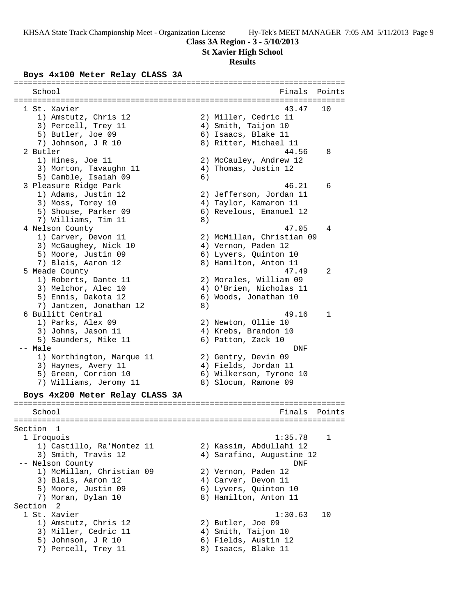# **St Xavier High School**

# **Results**

# **Boys 4x100 Meter Relay CLASS 3A**

| School                                 |    | Finals                    | Points |
|----------------------------------------|----|---------------------------|--------|
|                                        |    |                           |        |
| 1 St. Xavier                           |    | 43.47                     | 10     |
| 1) Amstutz, Chris 12                   |    | 2) Miller, Cedric 11      |        |
| 3) Percell, Trey 11                    |    | 4) Smith, Taijon 10       |        |
| 5) Butler, Joe 09                      |    | 6) Isaacs, Blake 11       |        |
| 7) Johnson, J R 10                     |    | 8) Ritter, Michael 11     |        |
| 2 Butler                               |    | 44.56                     | 8      |
| 1) Hines, Joe 11                       |    | 2) McCauley, Andrew 12    |        |
| 3) Morton, Tavaughn 11                 |    | 4) Thomas, Justin 12      |        |
| 5) Camble, Isaiah 09                   | 6) | 46.21                     |        |
| 3 Pleasure Ridge Park                  |    |                           | 6      |
| 1) Adams, Justin 12                    |    | 2) Jefferson, Jordan 11   |        |
| 3) Moss, Torey 10                      |    | 4) Taylor, Kamaron 11     |        |
| 5) Shouse, Parker 09                   |    | 6) Revelous, Emanuel 12   |        |
| 7) Williams, Tim 11                    | 8) | 47.05                     | 4      |
| 4 Nelson County<br>1) Carver, Devon 11 |    | 2) McMillan, Christian 09 |        |
| 3) McGaughey, Nick 10                  |    | 4) Vernon, Paden 12       |        |
| 5) Moore, Justin 09                    |    | 6) Lyvers, Quinton 10     |        |
| 7) Blais, Aaron 12                     |    | 8) Hamilton, Anton 11     |        |
| 5 Meade County                         |    | 47.49                     | 2      |
| 1) Roberts, Dante 11                   |    | 2) Morales, William 09    |        |
| 3) Melchor, Alec 10                    |    | 4) O'Brien, Nicholas 11   |        |
| 5) Ennis, Dakota 12                    |    | 6) Woods, Jonathan 10     |        |
| 7) Jantzen, Jonathan 12                | 8) |                           |        |
| 6 Bullitt Central                      |    | 49.16                     | 1      |
| 1) Parks, Alex 09                      |    | 2) Newton, Ollie 10       |        |
| 3) Johns, Jason 11                     |    | 4) Krebs, Brandon 10      |        |
| 5) Saunders, Mike 11                   |    | 6) Patton, Zack 10        |        |
| -- Male                                |    | DNF                       |        |
| 1) Northington, Marque 11              |    | 2) Gentry, Devin 09       |        |
| 3) Haynes, Avery 11                    |    | 4) Fields, Jordan 11      |        |
| 5) Green, Corrion 10                   |    | 6) Wilkerson, Tyrone 10   |        |
| 7) Williams, Jeromy 11                 |    | 8) Slocum, Ramone 09      |        |
| Boys 4x200 Meter Relay CLASS 3A        |    |                           |        |
|                                        |    |                           |        |
| School                                 |    | Finals                    | Points |
|                                        |    |                           |        |
| Section 1                              |    |                           |        |
| 1 Iroquois                             |    | 1:35.78                   | 1      |
| 1) Castillo, Ra'Montez 11              |    | 2) Kassim, Abdullahi 12   |        |
| 3) Smith, Travis 12                    |    | 4) Sarafino, Augustine 12 |        |
| -- Nelson County                       |    | DNF                       |        |
| 1) McMillan, Christian 09              |    | 2) Vernon, Paden 12       |        |
| 3) Blais, Aaron 12                     |    | 4) Carver, Devon 11       |        |
| 5) Moore, Justin 09                    |    | 6) Lyvers, Quinton 10     |        |
| 7) Moran, Dylan 10                     |    | 8) Hamilton, Anton 11     |        |
| Section 2                              |    |                           |        |
| 1 St. Xavier                           |    | 1:30.63                   | 10     |
| 1) Amstutz, Chris 12                   |    | 2) Butler, Joe 09         |        |
| 3) Miller, Cedric 11                   |    | 4) Smith, Taijon 10       |        |
| 5) Johnson, J R 10                     |    | 6) Fields, Austin 12      |        |
| 7) Percell, Trey 11                    |    | 8) Isaacs, Blake 11       |        |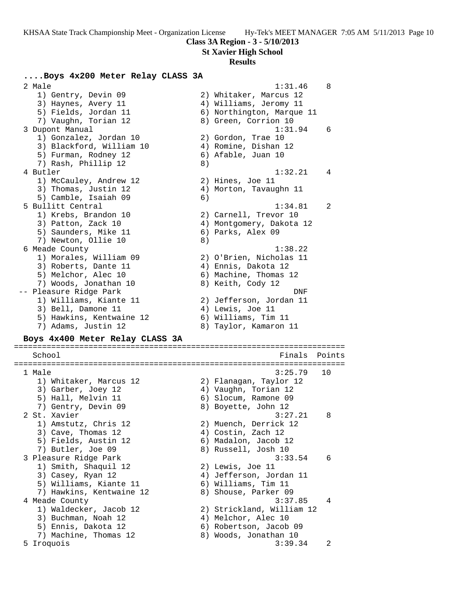**St Xavier High School**

### **Results**

### **....Boys 4x200 Meter Relay CLASS 3A**

2 Male 2 Male 2 Male 2 Male 2 Male 2 Male 2 Male 2 Male 2 Male 2 Male 2 Male 2 Male 2 Male 2 Male 2 Male 2 Male 1) Gentry, Devin 09 2) Whitaker, Marcus 12 3) Haynes, Avery 11 4) Williams, Jeromy 11 5) Fields, Jordan 11 6) Northington, Marque 11 7) Vaughn, Torian 12 (8) 8 Green, Corrion 10 3 Dupont Manual 2012 1:31.94 6 1) Gonzalez, Jordan 10 2) Gordon, Trae 10 3) Blackford, William 10 4) Romine, Dishan 12 5) Furman, Rodney 12 (6) Afable, Juan 10 7) Rash, Phillip 12 (8) 4 Butler 1:32.21 4 1) McCauley, Andrew 12 30 2) Hines, Joe 11 3) Thomas, Justin 12 4) Morton, Tavaughn 11 5) Camble, Isaiah 09 6) 5 Bullitt Central 1:34.81 2 1) Krebs, Brandon 10 2) Carnell, Trevor 10 3) Patton, Zack 10 4) Montgomery, Dakota 12 5) Saunders, Mike 11 (6) Parks, Alex 09 7) Newton, Ollie 10 8) 6 Meade County 1:38.22 1) Morales, William 09 2) O'Brien, Nicholas 11 3) Roberts, Dante 11 (4) Ennis, Dakota 12 5) Melchor, Alec 10 6) Machine, Thomas 12 7) Woods, Jonathan 10 8) Keith, Cody 12 -- Pleasure Ridge Park DNF 1) Williams, Kiante 11 2) Jefferson, Jordan 11 3) Bell, Damone 11 (4) Lewis, Joe 11 5) Hawkins, Kentwaine 12 6) Williams, Tim 11 7) Adams, Justin 12 8) Taylor, Kamaron 11

### **Boys 4x400 Meter Relay CLASS 3A**

======================================================================= School **Finals Points** ======================================================================= 1 Male 3:25.79 10 1) Whitaker, Marcus 12 2) Flanagan, Taylor 12 3) Garber, Joey 12 4) Vaughn, Torian 12 5) Hall, Melvin 11 6) Slocum, Ramone 09 7) Gentry, Devin 09 8) Boyette, John 12 2 St. Xavier 3:27.21 8 1) Amstutz, Chris 12 2) Muench, Derrick 12 3) Cave, Thomas 12 (4) Costin, Zach 12 5) Fields, Austin 12 6) Madalon, Jacob 12 7) Butler, Joe 09 8) Russell, Josh 10 3 Pleasure Ridge Park 3:33.54 6 1) Smith, Shaquil 12 2) Lewis, Joe 11 3) Casey, Ryan 12 4) Jefferson, Jordan 11 5) Williams, Kiante 11  $\qquad \qquad$  6) Williams, Tim 11 7) Hawkins, Kentwaine 12  $\qquad \qquad$  8) Shouse, Parker 09 4 Meade County 3:37.85 4 1) Waldecker, Jacob 12 2) Strickland, William 12 3) Buchman, Noah 12 (4) Melchor, Alec 10 5) Ennis, Dakota 12 6) Robertson, Jacob 09 7) Machine, Thomas 12 8) Woods, Jonathan 10 5 Iroquois 3:39.34 2